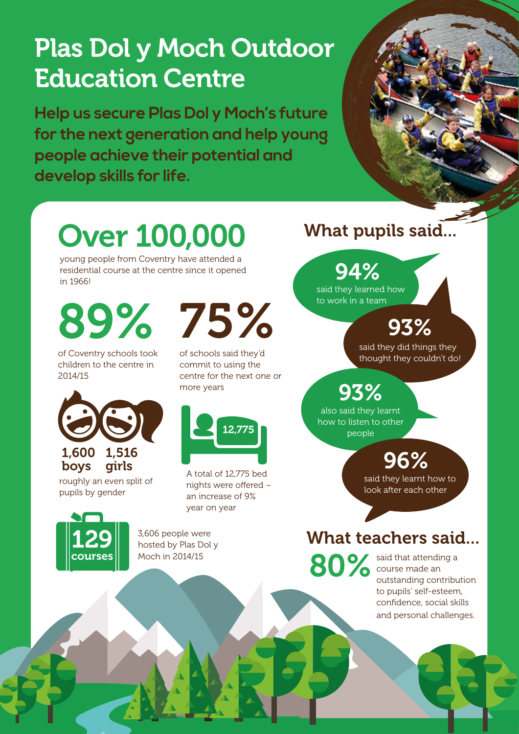# Plas Dol y Moch Outdoor Education Centre

**Help us secure Plas Dol y Moch's future for the next generation and help young people achieve their potential and develop skills for life.**



# Over 100,000

young people from Coventry have attended a residential course at the centre since it opened in 1966!

of Coventry schools took children to the centre in 2014/15



roughly an even split of pupils by gender

89% 75%

of schools said they'd commit to using the centre for the next one or more years



A total of 12,775 bed nights were offered – an increase of 9% year on year



3,606 people were hosted by Plas Dol y Moch in 2014/15

## What pupils said...

## 94%

said they learned how to work in a team

93%

said they did things they thought they couldn't do!

93%

also said they learnt how to listen to other people

# 96%

said they learnt how to look after each other

## What teachers said...

said that attending a course made an outstanding contribution to pupils' self-esteem, confidence, social skills and personal challenges. 80%